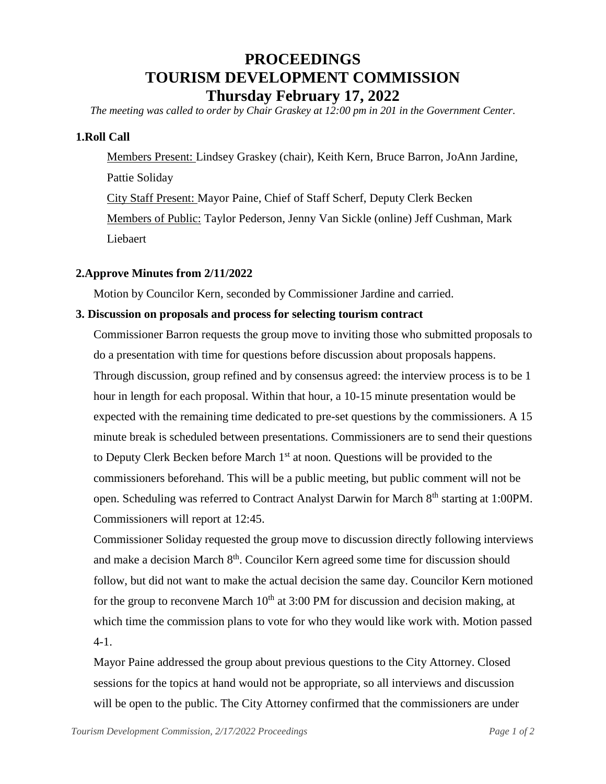# **PROCEEDINGS TOURISM DEVELOPMENT COMMISSION Thursday February 17, 2022**

*The meeting was called to order by Chair Graskey at 12:00 pm in 201 in the Government Center.*

### **1.Roll Call**

Members Present: Lindsey Graskey (chair), Keith Kern, Bruce Barron, JoAnn Jardine, Pattie Soliday City Staff Present: Mayor Paine, Chief of Staff Scherf, Deputy Clerk Becken Members of Public: Taylor Pederson, Jenny Van Sickle (online) Jeff Cushman, Mark Liebaert

#### **2.Approve Minutes from 2/11/2022**

Motion by Councilor Kern, seconded by Commissioner Jardine and carried.

#### **3. Discussion on proposals and process for selecting tourism contract**

Commissioner Barron requests the group move to inviting those who submitted proposals to do a presentation with time for questions before discussion about proposals happens. Through discussion, group refined and by consensus agreed: the interview process is to be 1 hour in length for each proposal. Within that hour, a 10-15 minute presentation would be expected with the remaining time dedicated to pre-set questions by the commissioners. A 15 minute break is scheduled between presentations. Commissioners are to send their questions to Deputy Clerk Becken before March 1<sup>st</sup> at noon. Questions will be provided to the commissioners beforehand. This will be a public meeting, but public comment will not be open. Scheduling was referred to Contract Analyst Darwin for March 8<sup>th</sup> starting at 1:00PM. Commissioners will report at 12:45.

Commissioner Soliday requested the group move to discussion directly following interviews and make a decision March 8<sup>th</sup>. Councilor Kern agreed some time for discussion should follow, but did not want to make the actual decision the same day. Councilor Kern motioned for the group to reconvene March  $10<sup>th</sup>$  at 3:00 PM for discussion and decision making, at which time the commission plans to vote for who they would like work with. Motion passed 4-1.

Mayor Paine addressed the group about previous questions to the City Attorney. Closed sessions for the topics at hand would not be appropriate, so all interviews and discussion will be open to the public. The City Attorney confirmed that the commissioners are under